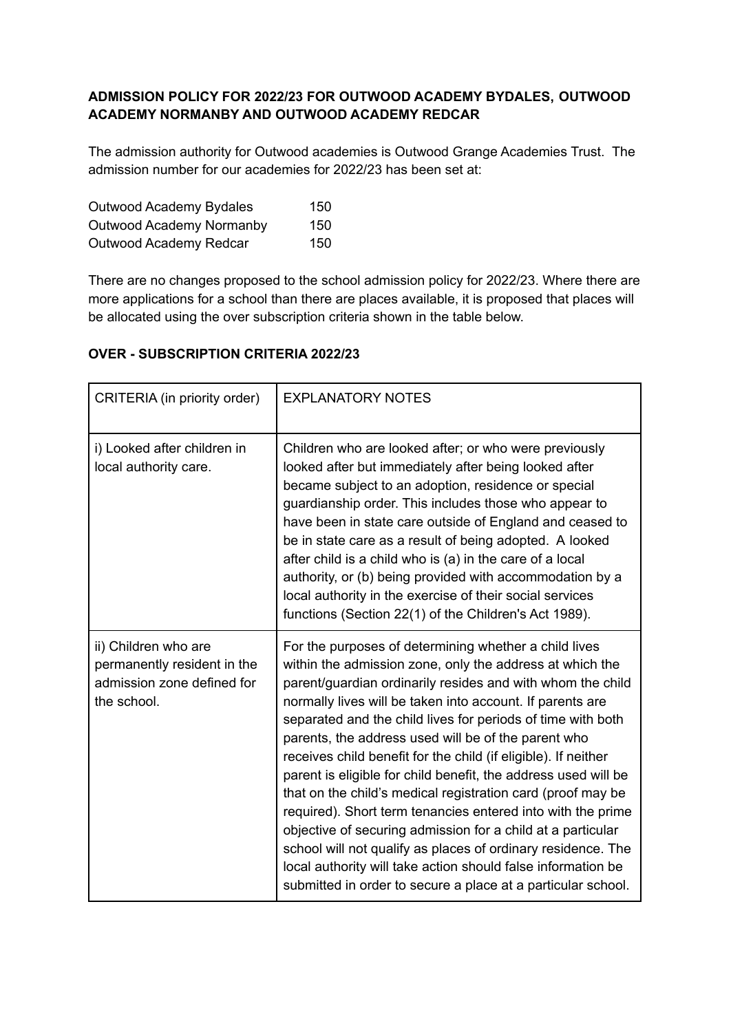# **ADMISSION POLICY FOR 2022/23 FOR OUTWOOD ACADEMY BYDALES, OUTWOOD ACADEMY NORMANBY AND OUTWOOD ACADEMY REDCAR**

The admission authority for Outwood academies is Outwood Grange Academies Trust. The admission number for our academies for 2022/23 has been set at:

| Outwood Academy Bydales         | 150 |
|---------------------------------|-----|
| <b>Outwood Academy Normanby</b> | 150 |
| Outwood Academy Redcar          | 150 |

There are no changes proposed to the school admission policy for 2022/23. Where there are more applications for a school than there are places available, it is proposed that places will be allocated using the over subscription criteria shown in the table below.

| CRITERIA (in priority order)                                                                     | <b>EXPLANATORY NOTES</b>                                                                                                                                                                                                                                                                                                                                                                                                                                                                                                                                                                                                                                                                                                                                                                                                                                                                            |
|--------------------------------------------------------------------------------------------------|-----------------------------------------------------------------------------------------------------------------------------------------------------------------------------------------------------------------------------------------------------------------------------------------------------------------------------------------------------------------------------------------------------------------------------------------------------------------------------------------------------------------------------------------------------------------------------------------------------------------------------------------------------------------------------------------------------------------------------------------------------------------------------------------------------------------------------------------------------------------------------------------------------|
| i) Looked after children in<br>local authority care.                                             | Children who are looked after; or who were previously<br>looked after but immediately after being looked after<br>became subject to an adoption, residence or special<br>guardianship order. This includes those who appear to<br>have been in state care outside of England and ceased to<br>be in state care as a result of being adopted. A looked<br>after child is a child who is (a) in the care of a local<br>authority, or (b) being provided with accommodation by a<br>local authority in the exercise of their social services<br>functions (Section 22(1) of the Children's Act 1989).                                                                                                                                                                                                                                                                                                  |
| ii) Children who are<br>permanently resident in the<br>admission zone defined for<br>the school. | For the purposes of determining whether a child lives<br>within the admission zone, only the address at which the<br>parent/guardian ordinarily resides and with whom the child<br>normally lives will be taken into account. If parents are<br>separated and the child lives for periods of time with both<br>parents, the address used will be of the parent who<br>receives child benefit for the child (if eligible). If neither<br>parent is eligible for child benefit, the address used will be<br>that on the child's medical registration card (proof may be<br>required). Short term tenancies entered into with the prime<br>objective of securing admission for a child at a particular<br>school will not qualify as places of ordinary residence. The<br>local authority will take action should false information be<br>submitted in order to secure a place at a particular school. |

# **OVER - SUBSCRIPTION CRITERIA 2022/23**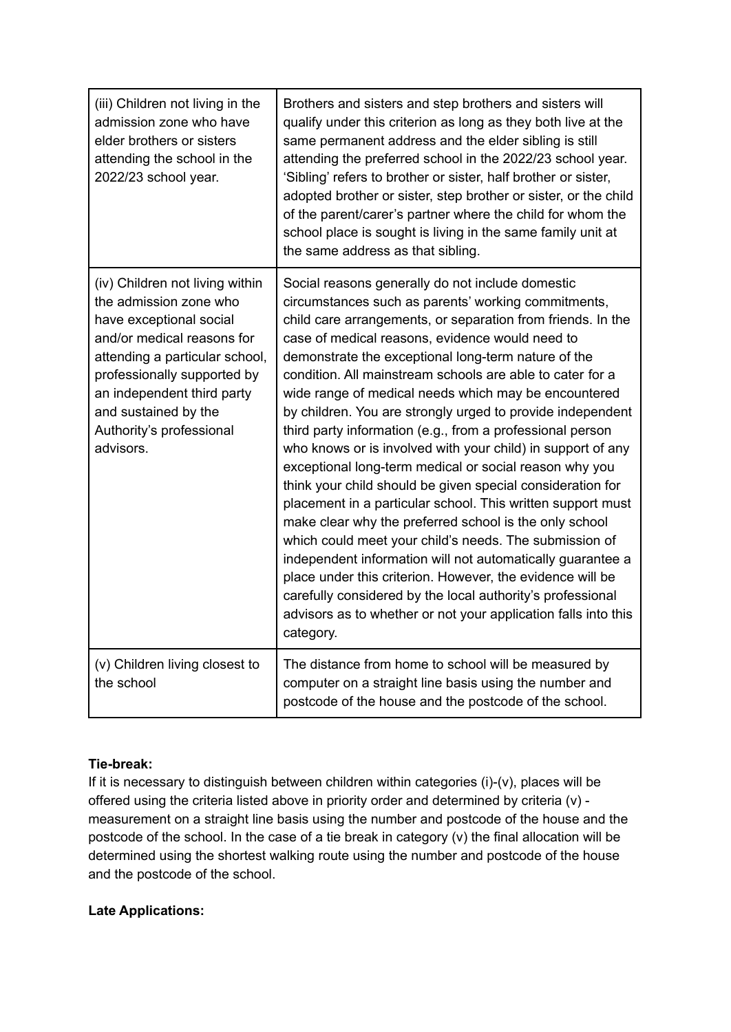| (iii) Children not living in the<br>admission zone who have<br>elder brothers or sisters<br>attending the school in the<br>2022/23 school year.                                                                                                                                    | Brothers and sisters and step brothers and sisters will<br>qualify under this criterion as long as they both live at the<br>same permanent address and the elder sibling is still<br>attending the preferred school in the 2022/23 school year.<br>'Sibling' refers to brother or sister, half brother or sister,<br>adopted brother or sister, step brother or sister, or the child<br>of the parent/carer's partner where the child for whom the<br>school place is sought is living in the same family unit at<br>the same address as that sibling.                                                                                                                                                                                                                                                                                                                                                                                                                                                                                                                                                                                                                             |
|------------------------------------------------------------------------------------------------------------------------------------------------------------------------------------------------------------------------------------------------------------------------------------|------------------------------------------------------------------------------------------------------------------------------------------------------------------------------------------------------------------------------------------------------------------------------------------------------------------------------------------------------------------------------------------------------------------------------------------------------------------------------------------------------------------------------------------------------------------------------------------------------------------------------------------------------------------------------------------------------------------------------------------------------------------------------------------------------------------------------------------------------------------------------------------------------------------------------------------------------------------------------------------------------------------------------------------------------------------------------------------------------------------------------------------------------------------------------------|
| (iv) Children not living within<br>the admission zone who<br>have exceptional social<br>and/or medical reasons for<br>attending a particular school,<br>professionally supported by<br>an independent third party<br>and sustained by the<br>Authority's professional<br>advisors. | Social reasons generally do not include domestic<br>circumstances such as parents' working commitments,<br>child care arrangements, or separation from friends. In the<br>case of medical reasons, evidence would need to<br>demonstrate the exceptional long-term nature of the<br>condition. All mainstream schools are able to cater for a<br>wide range of medical needs which may be encountered<br>by children. You are strongly urged to provide independent<br>third party information (e.g., from a professional person<br>who knows or is involved with your child) in support of any<br>exceptional long-term medical or social reason why you<br>think your child should be given special consideration for<br>placement in a particular school. This written support must<br>make clear why the preferred school is the only school<br>which could meet your child's needs. The submission of<br>independent information will not automatically guarantee a<br>place under this criterion. However, the evidence will be<br>carefully considered by the local authority's professional<br>advisors as to whether or not your application falls into this<br>category. |
| (v) Children living closest to<br>the school                                                                                                                                                                                                                                       | The distance from home to school will be measured by<br>computer on a straight line basis using the number and<br>postcode of the house and the postcode of the school.                                                                                                                                                                                                                                                                                                                                                                                                                                                                                                                                                                                                                                                                                                                                                                                                                                                                                                                                                                                                            |

# **Tie-break:**

If it is necessary to distinguish between children within categories (i)-(v), places will be offered using the criteria listed above in priority order and determined by criteria (v) measurement on a straight line basis using the number and postcode of the house and the postcode of the school. In the case of a tie break in category (v) the final allocation will be determined using the shortest walking route using the number and postcode of the house and the postcode of the school.

## **Late Applications:**